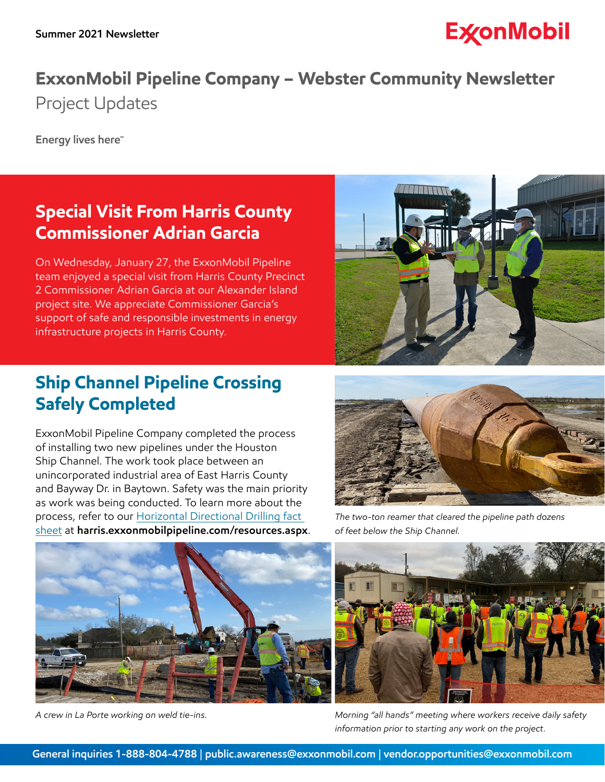# **ExconMobil**

## **ExxonMobil Pipeline Company – Webster Community Newsletter**  Project Updates

**Energy lives here™** 

### **Special Visit From Harris County Commissioner Adrian Garcia**

On Wednesday, January 27, the ExxonMobil Pipeline team enjoyed a special visit from Harris County Precinct 2 Commissioner Adrian Garcia at our Alexander Island project site. We appreciate Commissioner Garcia's support of safe and responsible investments in energy infrastructure projects in Harris County.

#### **Ship Channel Pipeline Crossing Safely Completed**

ExxonMobil Pipeline Company completed the process of installing two new pipelines under the Houston Ship Channel. The work took place between an unincorporated industrial area of East Harris County and Bayway Dr. in Baytown. Safety was the main priority as work was being conducted. To learn more about the process, refer to our [Horizontal Directional Drilling fact](https://harris.exxonmobilpipeline.com/resources/docs/water-crossing-fact-sheet.pdf)  [sheet](https://harris.exxonmobilpipeline.com/resources/docs/water-crossing-fact-sheet.pdf) at **[harris.exxonmobilpipeline.com/resources.aspx](http://harris.exxonmobilpipeline.com/resources.aspx)**.



*The two-ton reamer that cleared the pipeline path dozens of feet below the Ship Channel.* 



*A crew in La Porte working on weld tie-ins.* 



*Morning "all hands" meeting where workers receive daily safety information prior to starting any work on the project.*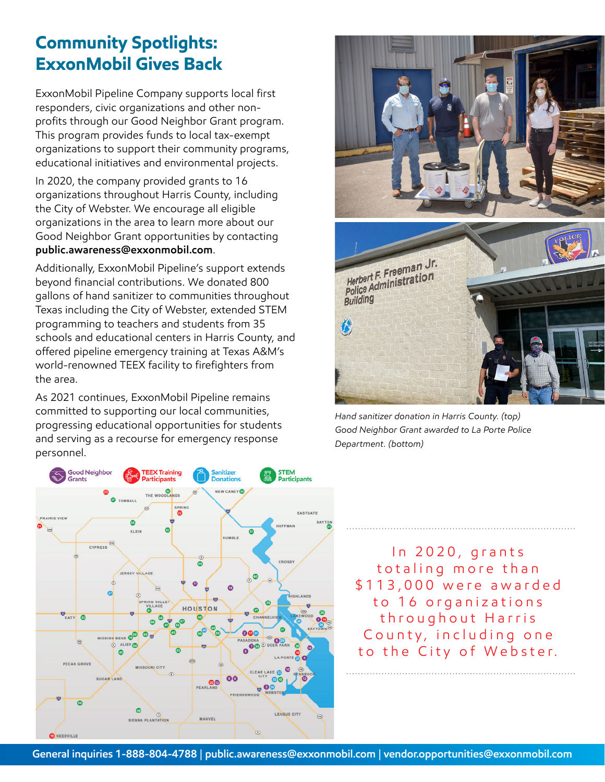#### **Community Spotlights: ExxonMobil Gives Back**

ExxonMobil Pipeline Company supports local first responders, civic organizations and other nonprofits through our Good Neighbor Grant program. This program provides funds to local tax-exempt organizations to support their community programs, educational initiatives and environmental projects.

In 2020, the company provided grants to 16 organizations throughout Harris County, including the City of Webster. We encourage all eligible organizations in the area to learn more about our Good Neighbor Grant opportunities by contacting **[public.awareness@exxonmobil.com](mailto:public.awareness%40exxonmobil.com?subject=)**.

Additionally, ExxonMobil Pipeline's support extends beyond financial contributions. We donated 800 gallons of hand sanitizer to communities throughout Texas including the City of Webster, extended STEM programming to teachers and students from 35 schools and educational centers in Harris County, and offered pipeline emergency training at Texas A&M's world-renowned TEEX facility to firefighters from the area.

As 2021 continues, ExxonMobil Pipeline remains committed to supporting our local communities, progressing educational opportunities for students and serving as a recourse for emergency response personnel.





*Hand sanitizer donation in Harris County. (top) Good Neighbor Grant awarded to La Porte Police Department. (bottom)* 

In 2020, grants totaling more than \$113,000 were awarded to 16 organizations throughout Harris County, including one to the City of Webster.